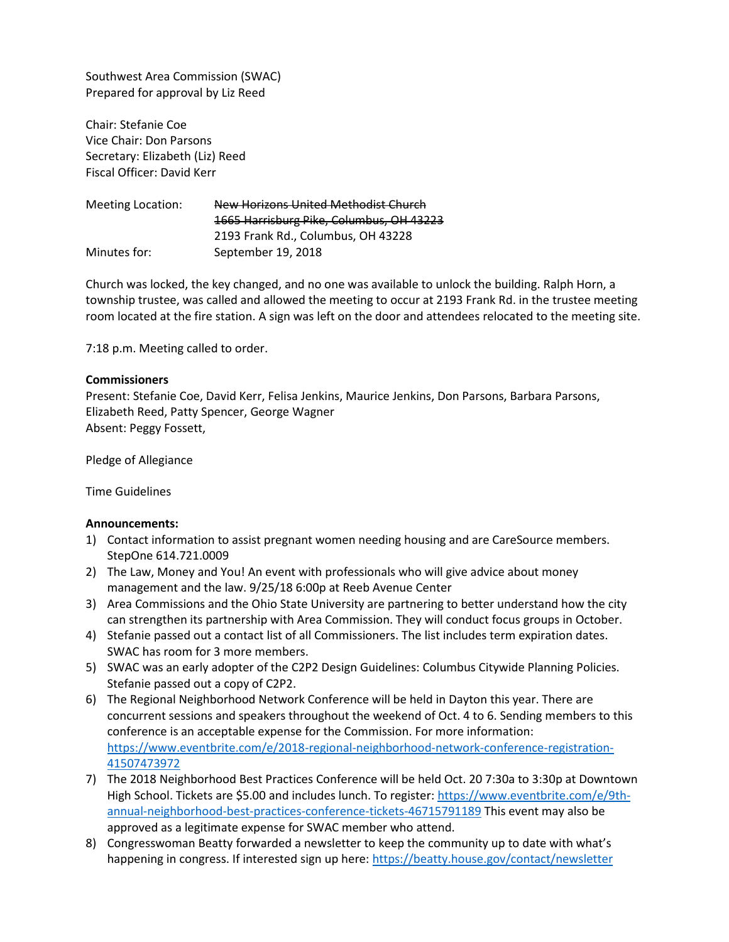Southwest Area Commission (SWAC) Prepared for approval by Liz Reed

Chair: Stefanie Coe Vice Chair: Don Parsons Secretary: Elizabeth (Liz) Reed Fiscal Officer: David Kerr

Meeting Location: New Horizons United Methodist Church 1665 Harrisburg Pike, Columbus, OH 43223 2193 Frank Rd., Columbus, OH 43228 Minutes for: September 19, 2018

Church was locked, the key changed, and no one was available to unlock the building. Ralph Horn, a township trustee, was called and allowed the meeting to occur at 2193 Frank Rd. in the trustee meeting room located at the fire station. A sign was left on the door and attendees relocated to the meeting site.

7:18 p.m. Meeting called to order.

## **Commissioners**

Present: Stefanie Coe, David Kerr, Felisa Jenkins, Maurice Jenkins, Don Parsons, Barbara Parsons, Elizabeth Reed, Patty Spencer, George Wagner Absent: Peggy Fossett,

Pledge of Allegiance

Time Guidelines

### **Announcements:**

- 1) Contact information to assist pregnant women needing housing and are CareSource members. StepOne 614.721.0009
- 2) The Law, Money and You! An event with professionals who will give advice about money management and the law. 9/25/18 6:00p at Reeb Avenue Center
- 3) Area Commissions and the Ohio State University are partnering to better understand how the city can strengthen its partnership with Area Commission. They will conduct focus groups in October.
- 4) Stefanie passed out a contact list of all Commissioners. The list includes term expiration dates. SWAC has room for 3 more members.
- 5) SWAC was an early adopter of the C2P2 Design Guidelines: Columbus Citywide Planning Policies. Stefanie passed out a copy of C2P2.
- 6) The Regional Neighborhood Network Conference will be held in Dayton this year. There are concurrent sessions and speakers throughout the weekend of Oct. 4 to 6. Sending members to this conference is an acceptable expense for the Commission. For more information: [https://www.eventbrite.com/e/2018-regional-neighborhood-network-conference-registration-](https://www.eventbrite.com/e/2018-regional-neighborhood-network-conference-registration-41507473972)[41507473972](https://www.eventbrite.com/e/2018-regional-neighborhood-network-conference-registration-41507473972)
- 7) The 2018 Neighborhood Best Practices Conference will be held Oct. 20 7:30a to 3:30p at Downtown High School. Tickets are \$5.00 and includes lunch. To register[: https://www.eventbrite.com/e/9th](https://www.eventbrite.com/e/9th-annual-neighborhood-best-practices-conference-tickets-46715791189)[annual-neighborhood-best-practices-conference-tickets-46715791189](https://www.eventbrite.com/e/9th-annual-neighborhood-best-practices-conference-tickets-46715791189) This event may also be approved as a legitimate expense for SWAC member who attend.
- 8) Congresswoman Beatty forwarded a newsletter to keep the community up to date with what's happening in congress. If interested sign up here[: https://beatty.house.gov/contact/newsletter](https://beatty.house.gov/contact/newsletter)